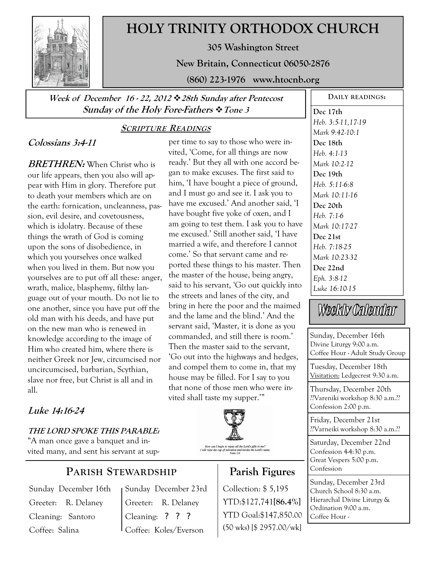

# **HOLY TRINITY ORTHODOX CHURCH**

**305 Washington Street** 

**New Britain, Connecticut 06050-2876** 

**(860) 223-1976 www.htocnb.org** 

**Week of December 16 - 22, 2012 28th Sunday after Pentecost Sunday of the Holy Fore-Fathers Tone 3** 

## **SCRIPTURE READINGS**

## **Colossians 3:4-11**

**BRETHREN:** When Christ who is our life appears, then you also will appear with Him in glory. Therefore put to death your members which are on the earth: fornication, uncleanness, passion, evil desire, and covetousness, which is idolatry. Because of these things the wrath of God is coming upon the sons of disobedience, in which you yourselves once walked when you lived in them. But now you yourselves are to put off all these: anger, wrath, malice, blasphemy, filthy language out of your mouth. Do not lie to one another, since you have put off the old man with his deeds, and have put on the new man who is renewed in knowledge according to the image of Him who created him, where there is neither Greek nor Jew, circumcised nor uncircumcised, barbarian, Scythian, slave nor free, but Christ is all and in all.

# **Luke 14:16-24**

**THE LORD SPOKE THIS PARABLE:**  "A man once gave a banquet and invited many, and sent his servant at sup-

## **PARISH STEWARDSHIP**

Sunday December 16th Greeter: R. Delaney Cleaning: Santoro Coffee: Salina

Sunday December 23rd Greeter: R. Delaney Cleaning: ? ? ? Coffee: Koles/Everson

per time to say to those who were invited, 'Come, for all things are now ready.' But they all with one accord began to make excuses. The first said to him, 'I have bought a piece of ground, and I must go and see it. I ask you to have me excused.' And another said, 'I have bought five yoke of oxen, and I am going to test them. I ask you to have me excused.' Still another said, 'I have married a wife, and therefore I cannot come.' So that servant came and reported these things to his master. Then the master of the house, being angry, said to his servant, 'Go out quickly into the streets and lanes of the city, and bring in here the poor and the maimed and the lame and the blind.' And the servant said, 'Master, it is done as you commanded, and still there is room.' Then the master said to the servant, 'Go out into the highways and hedges, and compel them to come in, that my house may be filled. For I say to you that none of those men who were invited shall taste my supper.'"



# **Parish Figures**

Collection: \$ 5,195 YTD:\$127,741**[86.4%]** YTD Goal:\$147,850.00 (50 wks) [\$ 2957.00/wk]

**Dec 17th**  *Heb. 3:5-11,17-19 Mark 9:42-10:1*  **Dec 18th**  *Heb. 4:1-13 Mark 10:2-12*  **Dec 19th**  *Heb. 5:11-6:8 Mark 10:11-16*  **Dec 20th**  *Heb. 7:1-6 Mark 10:17-27*  **Dec 21st**  *Heb. 7:18-25 Mark 10:23-32*  **Dec 22nd**  *Eph. 3:8-12 Luke 16:10-15* 

# Weekly Calendar

Sunday, December 16th Divine Liturgy 9:00 a.m. Coffee Hour - Adult Study Group

Tuesday, December 18th Visitation: Ledgecrest 9:30 a.m.

Thursday, December 20th ??Vareniki workshop 8:30 a.m.?? Confession 2:00 p.m.

Friday, December 21st ??Varneiki workshop 8:30 a.m.??

Saturday, December 22nd Confession  $44:30$  p.m. Great Vespers 5:00 p.m. Confession

Sunday, December 23rd Church School 8:30 a.m. Hierarchal Divine Liturgy & Ordination 9:00 a.m. Coffee Hour -

**DAILY READINGS:**